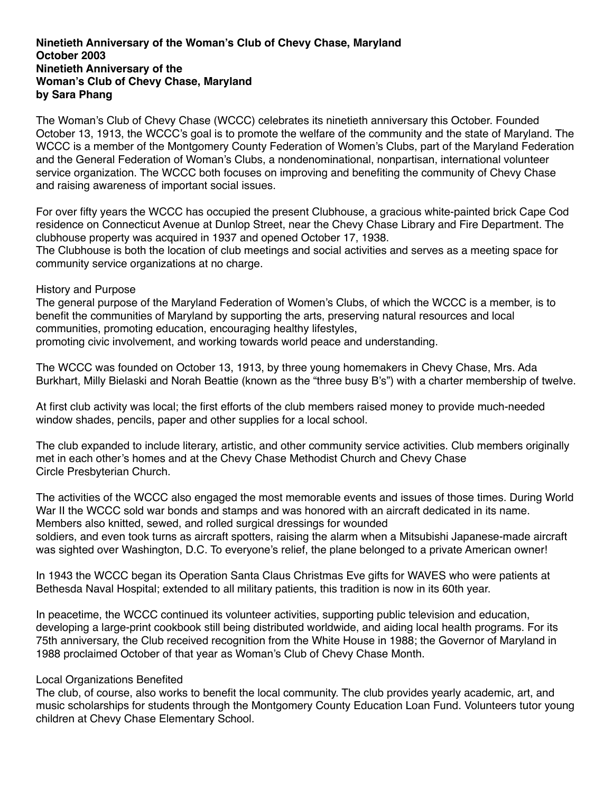## **Ninetieth Anniversary of the Woman's Club of Chevy Chase, Maryland October 2003 Ninetieth Anniversary of the Woman's Club of Chevy Chase, Maryland by Sara Phang**

The Woman's Club of Chevy Chase (WCCC) celebrates its ninetieth anniversary this October. Founded October 13, 1913, the WCCC's goal is to promote the welfare of the community and the state of Maryland. The WCCC is a member of the Montgomery County Federation of Women's Clubs, part of the Maryland Federation and the General Federation of Woman's Clubs, a nondenominational, nonpartisan, international volunteer service organization. The WCCC both focuses on improving and benefiting the community of Chevy Chase and raising awareness of important social issues.

For over fifty years the WCCC has occupied the present Clubhouse, a gracious white-painted brick Cape Cod residence on Connecticut Avenue at Dunlop Street, near the Chevy Chase Library and Fire Department. The clubhouse property was acquired in 1937 and opened October 17, 1938.

The Clubhouse is both the location of club meetings and social activities and serves as a meeting space for community service organizations at no charge.

## History and Purpose

The general purpose of the Maryland Federation of Women's Clubs, of which the WCCC is a member, is to benefit the communities of Maryland by supporting the arts, preserving natural resources and local communities, promoting education, encouraging healthy lifestyles, promoting civic involvement, and working towards world peace and understanding.

The WCCC was founded on October 13, 1913, by three young homemakers in Chevy Chase, Mrs. Ada

Burkhart, Milly Bielaski and Norah Beattie (known as the "three busy B's") with a charter membership of twelve.

At first club activity was local; the first efforts of the club members raised money to provide much-needed window shades, pencils, paper and other supplies for a local school.

The club expanded to include literary, artistic, and other community service activities. Club members originally met in each other's homes and at the Chevy Chase Methodist Church and Chevy Chase Circle Presbyterian Church.

The activities of the WCCC also engaged the most memorable events and issues of those times. During World War II the WCCC sold war bonds and stamps and was honored with an aircraft dedicated in its name. Members also knitted, sewed, and rolled surgical dressings for wounded soldiers, and even took turns as aircraft spotters, raising the alarm when a Mitsubishi Japanese-made aircraft was sighted over Washington, D.C. To everyone's relief, the plane belonged to a private American owner!

In 1943 the WCCC began its Operation Santa Claus Christmas Eve gifts for WAVES who were patients at Bethesda Naval Hospital; extended to all military patients, this tradition is now in its 60th year.

In peacetime, the WCCC continued its volunteer activities, supporting public television and education, developing a large-print cookbook still being distributed worldwide, and aiding local health programs. For its 75th anniversary, the Club received recognition from the White House in 1988; the Governor of Maryland in 1988 proclaimed October of that year as Woman's Club of Chevy Chase Month.

## Local Organizations Benefited

The club, of course, also works to benefit the local community. The club provides yearly academic, art, and music scholarships for students through the Montgomery County Education Loan Fund. Volunteers tutor young children at Chevy Chase Elementary School.